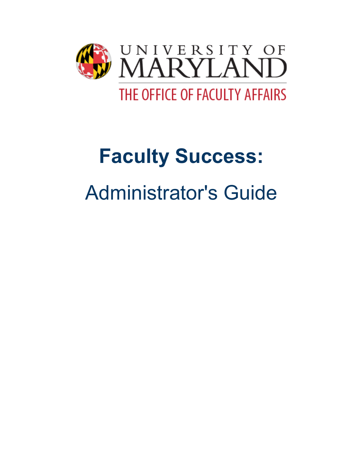

# **Faculty Success:** Administrator's Guide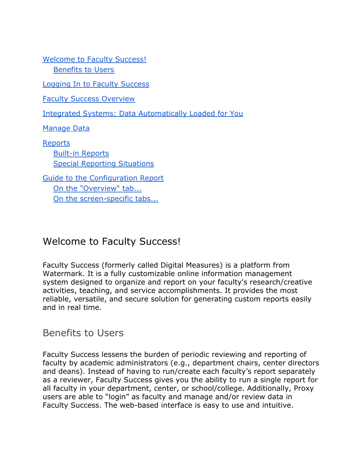[Welcome to Faculty Success!](#page-1-0) [Benefits to Users](#page-1-1)

[Logging In to Faculty Success](#page-2-0)

[Faculty Success Overview](#page-2-1)

[Integrated Systems: Data Automatically Loaded for](#page-4-0) You

[Manage Data](#page-4-1)

[Reports](#page-5-0) [Built-in Reports](#page-5-1) [Special Reporting Situations](#page-11-0)

[Guide to the Configuration Report](#page-13-0) [On the "Overview" tab...](#page-13-1) [On the screen-specific tabs...](#page-14-0)

## <span id="page-1-0"></span>Welcome to Faculty Success!

Faculty Success (formerly called Digital Measures) is a platform from Watermark. It is a fully customizable online information management system designed to organize and report on your faculty's research/creative activities, teaching, and service accomplishments. It provides the most reliable, versatile, and secure solution for generating custom reports easily and in real time.

#### <span id="page-1-1"></span>Benefits to Users

Faculty Success lessens the burden of periodic reviewing and reporting of faculty by academic administrators (e.g., department chairs, center directors and deans). Instead of having to run/create each faculty's report separately as a reviewer, Faculty Success gives you the ability to run a single report for all faculty in your department, center, or school/college. Additionally, Proxy users are able to "login" as faculty and manage and/or review data in Faculty Success. The web-based interface is easy to use and intuitive.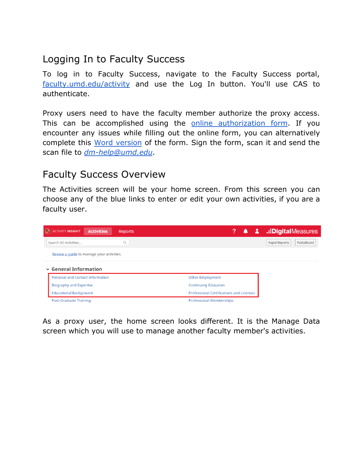# <span id="page-2-0"></span>Logging In to Faculty Success

To log in to Faculty Success, navigate to the Faculty Success portal, [faculty.umd.edu/activity](https://faculty.umd.edu/activity) and use the Log In button. You'll use CAS to authenticate.

Proxy users need to have the faculty member authorize the proxy access. This can be accomplished using the online [authorization](https://docs.google.com/forms/d/e/1FAIpQLScIHyhWpjvd42-lOzPxlHtENvolEfNeDYJe5uwNlPCsdSewwg/viewform?vc=0&c=0&w=1) form. If you encounter any issues while filling out the online form, you can alternatively complete this Word [version](https://faculty.umd.edu/sites/default/files/common/activity-insight/ProxyAccessForm.docx) of the form. Sign the form, scan it and send the scan file to *[dm-help@umd.edu](mailto:dm-help@umd.edu)*.

## <span id="page-2-1"></span>Faculty Success Overview

The Activities screen will be your home screen. From this screen you can choose any of the blue links to enter or edit your own activities, if you are a faculty user.



As a proxy user, the home screen looks different. It is the Manage Data screen which you will use to manage another faculty member's activities.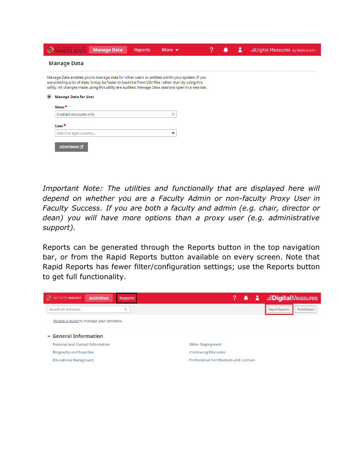|         | <b>ARYLAND</b>               | <b>Manage Data</b>                                                                                                                                                                                                                                                                                       | <b>Reports</b> | More $\blacktriangleright$ |  | : Digital Measures by Watermark* |
|---------|------------------------------|----------------------------------------------------------------------------------------------------------------------------------------------------------------------------------------------------------------------------------------------------------------------------------------------------------|----------------|----------------------------|--|----------------------------------|
|         | <b>Manage Data</b>           |                                                                                                                                                                                                                                                                                                          |                |                            |  |                                  |
|         |                              | Manage Data enables you to manage data for other users or entities within your system. If you<br>are entering a lot of data, it may be faster to load this from CSV files rather than by using this<br>utility. All changes made using this utility are audited. Manage Data sessions open in a new tab. |                |                            |  |                                  |
| $\odot$ | <b>Manage Data for User</b>  |                                                                                                                                                                                                                                                                                                          |                |                            |  |                                  |
|         | Show*                        |                                                                                                                                                                                                                                                                                                          |                |                            |  |                                  |
|         | <b>Enabled Accounts only</b> |                                                                                                                                                                                                                                                                                                          |                | O                          |  |                                  |
|         | User*                        |                                                                                                                                                                                                                                                                                                          |                |                            |  |                                  |
|         | Select or type a name        |                                                                                                                                                                                                                                                                                                          |                | ▼                          |  |                                  |
|         | CONTINUE <sup>[2]</sup>      |                                                                                                                                                                                                                                                                                                          |                |                            |  |                                  |

*Important Note: The utilities and functionally that are displayed here will depend on whether you are a Faculty Admin or non-faculty Proxy User in Faculty Success. If you are both a faculty and admin (e.g. chair, director or dean) you will have more options than a proxy user (e.g. administrative support).*

Reports can be generated through the Reports button in the top navigation bar, or from the Rapid Reports button available on every screen. Note that Rapid Reports has fewer filter/configuration settings; use the Reports button to get full functionality.

| $\mathcal{L}_{\mathcal{L}}$<br><b>ACTIVITY INSIGHT</b> | <b>Activities</b> | <b>Reports</b> | ?<br>۹                                          | Х | .:DigitalMeasures           |
|--------------------------------------------------------|-------------------|----------------|-------------------------------------------------|---|-----------------------------|
| Search All Activities                                  |                   | $\mathsf Q$    |                                                 |   | Rapid Reports<br>PasteBoard |
| Review a quide to manage your activities.              |                   |                |                                                 |   |                             |
| $\vee$ General Information                             |                   |                |                                                 |   |                             |
| <b>Personal and Contact Information</b>                |                   |                | <b>Other Employment</b>                         |   |                             |
| <b>Biography and Expertise</b>                         |                   |                | <b>Continuing Education</b>                     |   |                             |
| <b>Educational Background</b>                          |                   |                | <b>Professional Certifications and Licenses</b> |   |                             |
|                                                        |                   |                |                                                 |   |                             |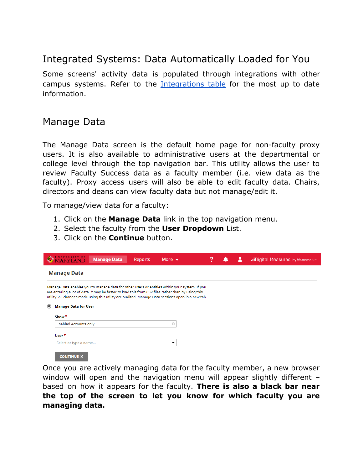# <span id="page-4-0"></span>Integrated Systems: Data Automatically Loaded for You

Some screens' activity data is populated through integrations with other campus systems. Refer to the [Integrations](https://faculty.umd.edu/activity/help-resources/integrations) table for the most up to date information.

## <span id="page-4-1"></span>Manage Data

The Manage Data screen is the default home page for non-faculty proxy users. It is also available to administrative users at the departmental or college level through the top navigation bar. This utility allows the user to review Faculty Success data as a faculty member (i.e. view data as the faculty). Proxy access users will also be able to edit faculty data. Chairs, directors and deans can view faculty data but not manage/edit it.

To manage/view data for a faculty:

- 1. Click on the **Manage Data** link in the top navigation menu.
- 2. Select the faculty from the **User Dropdown** List.
- 3. Click on the **Continue** button.

|                              | <b>Manage Data</b>                                                                                                                                                                                                                                                                                                                      | <b>Reports</b> | More $\blacktriangledown$ |  |  |  | .: Digital Measures by Watermark |  |  |  |  |
|------------------------------|-----------------------------------------------------------------------------------------------------------------------------------------------------------------------------------------------------------------------------------------------------------------------------------------------------------------------------------------|----------------|---------------------------|--|--|--|----------------------------------|--|--|--|--|
| <b>Manage Data</b>           |                                                                                                                                                                                                                                                                                                                                         |                |                           |  |  |  |                                  |  |  |  |  |
|                              | Manage Data enables you to manage data for other users or entities within your system. If you<br>are entering a lot of data, it may be faster to load this from CSV files rather than by using this<br>utility. All changes made using this utility are audited. Manage Data sessions open in a new tab.<br><b>Manage Data for User</b> |                |                           |  |  |  |                                  |  |  |  |  |
| Show <sup>*</sup>            |                                                                                                                                                                                                                                                                                                                                         |                |                           |  |  |  |                                  |  |  |  |  |
| <b>Enabled Accounts only</b> |                                                                                                                                                                                                                                                                                                                                         |                | o                         |  |  |  |                                  |  |  |  |  |
| User*                        |                                                                                                                                                                                                                                                                                                                                         |                |                           |  |  |  |                                  |  |  |  |  |
| Select or type a name        |                                                                                                                                                                                                                                                                                                                                         |                | ▼                         |  |  |  |                                  |  |  |  |  |
| <b>CONTINUE</b>              |                                                                                                                                                                                                                                                                                                                                         |                |                           |  |  |  |                                  |  |  |  |  |

Once you are actively managing data for the faculty member, a new browser window will open and the navigation menu will appear slightly different based on how it appears for the faculty. **There is also a black bar near the top of the screen to let you know for which faculty you are managing data.**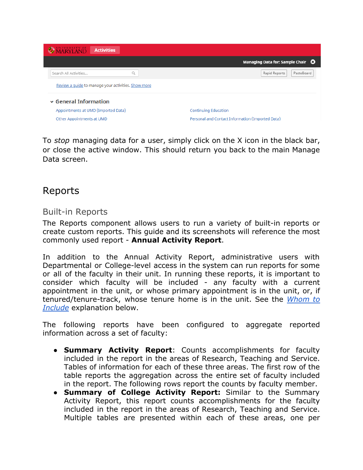| <b>OMARYLAND</b><br><b>Activities</b>               |                                                         |
|-----------------------------------------------------|---------------------------------------------------------|
|                                                     | Managing Data for: Sample Chair $\, \mathbf{\Omega} \,$ |
| $\mathbb{Q}$<br>Search All Activities               | Rapid Reports<br>PasteBoard                             |
| Review a quide to manage your activities. Show more |                                                         |
| $\vee$ General Information                          |                                                         |
| Appointments at UMD (Imported Data)                 | Continuing Education                                    |
| Other Appointments at UMD                           | Personal and Contact Information (Imported Data)        |

To *stop* managing data for a user, simply click on the X icon in the black bar, or close the active window. This should return you back to the main Manage Data screen.

# <span id="page-5-0"></span>Reports

#### <span id="page-5-1"></span>Built-in Reports

The Reports component allows users to run a variety of built-in reports or create custom reports. This guide and its screenshots will reference the most commonly used report - **Annual Activity Report**.

In addition to the Annual Activity Report, administrative users with Departmental or College-level access in the system can run reports for some or all of the faculty in their unit. In running these reports, it is important to consider which faculty will be included - any faculty with a current appointment in the unit, or whose primary appointment is in the unit, or, if tenured/tenure-track, whose tenure home is in the unit. See the *[Whom](#page-7-0) to [Include](#page-7-0)* explanation below.

The following reports have been configured to aggregate reported information across a set of faculty:

- **● Summary Activity Report**: Counts accomplishments for faculty included in the report in the areas of Research, Teaching and Service. Tables of information for each of these three areas. The first row of the table reports the aggregation across the entire set of faculty included in the report. The following rows report the counts by faculty member.
- **● Summary of College Activity Report:** Similar to the Summary Activity Report, this report counts accomplishments for the faculty included in the report in the areas of Research, Teaching and Service. Multiple tables are presented within each of these areas, one per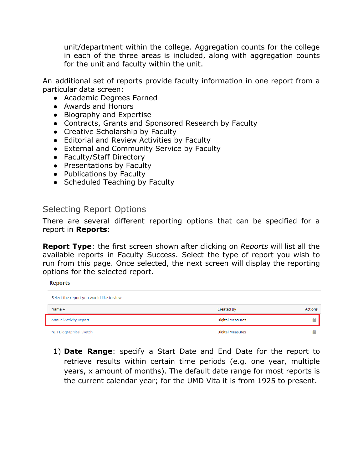unit/department within the college. Aggregation counts for the college in each of the three areas is included, along with aggregation counts for the unit and faculty within the unit.

An additional set of reports provide faculty information in one report from a particular data screen:

- **●** Academic Degrees Earned
- Awards and Honors
- Biography and Expertise
- Contracts, Grants and Sponsored Research by Faculty
- Creative Scholarship by Faculty
- Editorial and Review Activities by Faculty
- External and Community Service by Faculty
- Faculty/Staff Directory
- Presentations by Faculty
- Publications by Faculty
- Scheduled Teaching by Faculty

#### Selecting Report Options

There are several different reporting options that can be specified for a report in **Reports**:

**Report Type**: the first screen shown after clicking on *Reports* will list all the available reports in Faculty Success. Select the type of report you wish to run from this page. Once selected, the next screen will display the reporting options for the selected report.

**Reports** 

| Select the report you would like to view. |                  |                |
|-------------------------------------------|------------------|----------------|
| Name $\triangle$                          | Created By       | <b>Actions</b> |
| <b>Annual Activity Report</b>             | Digital Measures |                |
| NIH Biographical Sketch                   | Digital Measures |                |

1) **Date Range**: specify a Start Date and End Date for the report to retrieve results within certain time periods (e.g. one year, multiple years, x amount of months). The default date range for most reports is the current calendar year; for the UMD Vita it is from 1925 to present.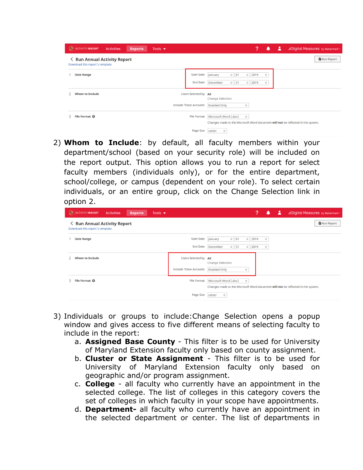|   | <b>O</b> ACTIVITY INSIGHT                                              | <b>Activities</b> | <b>Reports</b> | Tools $\blacktriangledown$ |                                                        | ?<br>2<br>.: Digital Measures by Watermark                                                                                  |
|---|------------------------------------------------------------------------|-------------------|----------------|----------------------------|--------------------------------------------------------|-----------------------------------------------------------------------------------------------------------------------------|
|   | <b>く Run Annual Activity Report</b><br>Download this report's template |                   |                |                            |                                                        | Run Report                                                                                                                  |
|   | <b>Date Range</b>                                                      |                   |                |                            | <b>Start Date</b><br><b>End Date</b>                   | $\circ$ 01<br>2019<br>January<br>$\circledcirc$<br>$\circ$<br>$\circ$ 31<br>December<br>2019<br>$\odot$<br>$\odot$          |
|   | <b>Whom to Include</b>                                                 |                   |                |                            | Users Selected by All<br><b>Include These Accounts</b> | <b>Change Selection</b><br><b>Enabled Only</b><br>$\odot$                                                                   |
| 3 | File Format <sup>©</sup>                                               |                   |                |                            | <b>File Format</b>                                     | Microsoft Word (.doc)<br>$\circledcirc$<br>Changes made to the Microsoft Word document will not be reflected in the system. |
|   |                                                                        |                   |                |                            | Page Size                                              | Letter<br>$\circ$                                                                                                           |

<span id="page-7-0"></span>2) **Whom to Include**: by default, all faculty members within your department/school (based on your security role) will be included on the report output. This option allows you to run a report for select faculty members (individuals only), or for the entire department, school/college, or campus (dependent on your role). To select certain individuals, or an entire group, click on the Change Selection link in option 2.

| <b>く Run Annual Activity Report</b><br>Download this report's template | Run Report                                                                                                                                                                   |
|------------------------------------------------------------------------|------------------------------------------------------------------------------------------------------------------------------------------------------------------------------|
|                                                                        |                                                                                                                                                                              |
| <b>Date Range</b>                                                      | <b>Start Date</b><br>January<br>$\circ$ 01<br>2019<br>$_{\odot}$<br>$\circledcirc$<br><b>End Date</b><br>December<br>$0$ 31<br>2019<br>$_{\odot}$<br>$_{\odot}$              |
| <b>Whom to Include</b>                                                 | Users Selected by All<br><b>Change Selection</b><br><b>Include These Accounts</b><br><b>Enabled Only</b><br>$\circ$                                                          |
| File Format @<br>3                                                     | <b>File Format</b><br>Microsoft Word (.doc)<br>$\odot$<br>Changes made to the Microsoft Word document will not be reflected in the system.<br>Page Size<br>Letter<br>$\odot$ |

- 3) Individuals or groups to include:Change Selection opens a popup window and gives access to five different means of selecting faculty to include in the report:
	- a. **Assigned Base County** This filter is to be used for University of Maryland Extension faculty only based on county assignment.
	- b. **Cluster or State Assignment** This filter is to be used for University of Maryland Extension faculty only based on geographic and/or program assignment.
	- c. **College** all faculty who currently have an appointment in the selected college. The list of colleges in this category covers the set of colleges in which faculty in your scope have appointments.
	- d. **Department-** all faculty who currently have an appointment in the selected department or center. The list of departments in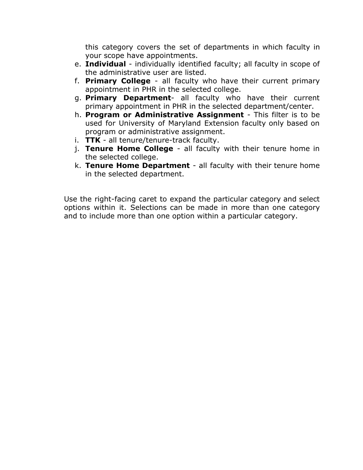this category covers the set of departments in which faculty in your scope have appointments.

- e. **Individual** individually identified faculty; all faculty in scope of the administrative user are listed.
- f. **Primary College** all faculty who have their current primary appointment in PHR in the selected college.
- g. **Primary Department** all faculty who have their current primary appointment in PHR in the selected department/center.
- h. **Program or Administrative Assignment** This filter is to be used for University of Maryland Extension faculty only based on program or administrative assignment.
- i. **TTK** all tenure/tenure-track faculty.
- j. **Tenure Home College** all faculty with their tenure home in the selected college.
- k. **Tenure Home Department** all faculty with their tenure home in the selected department.

Use the right-facing caret to expand the particular category and select options within it. Selections can be made in more than one category and to include more than one option within a particular category.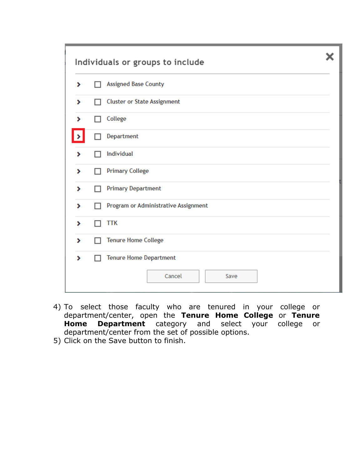|   | Individuals or groups to include     |  |  |  |  |  |
|---|--------------------------------------|--|--|--|--|--|
| ⋟ | <b>Assigned Base County</b>          |  |  |  |  |  |
| ⋟ | <b>Cluster or State Assignment</b>   |  |  |  |  |  |
| ۶ | College                              |  |  |  |  |  |
|   | Department                           |  |  |  |  |  |
| ⋟ | <b>Individual</b>                    |  |  |  |  |  |
| ۶ | <b>Primary College</b>               |  |  |  |  |  |
| ۶ | <b>Primary Department</b>            |  |  |  |  |  |
| ⋟ | Program or Administrative Assignment |  |  |  |  |  |
| ⋟ | <b>TTK</b>                           |  |  |  |  |  |
| ۶ | <b>Tenure Home College</b>           |  |  |  |  |  |
| ⋟ | <b>Tenure Home Department</b>        |  |  |  |  |  |
|   | Cancel<br>Save                       |  |  |  |  |  |

- 4) To select those faculty who are tenured in your college or department/center, open the **Tenure Home College** or **Tenure Home Department** category and select your college or department/center from the set of possible options.
- 5) Click on the Save button to finish.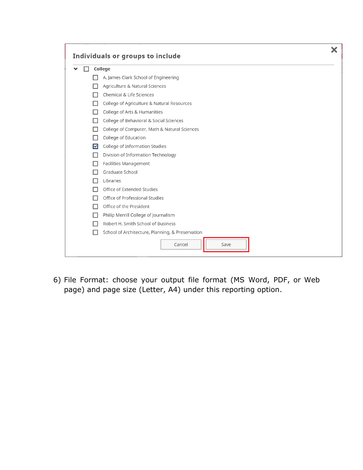|   | Individuals or groups to include                 |  |  |  |  |  |  |  |
|---|--------------------------------------------------|--|--|--|--|--|--|--|
|   | College                                          |  |  |  |  |  |  |  |
|   | A. James Clark School of Engineering             |  |  |  |  |  |  |  |
|   | Agriculture & Natural Sciences                   |  |  |  |  |  |  |  |
|   | <b>Chemical &amp; Life Sciences</b>              |  |  |  |  |  |  |  |
| H | College of Agriculture & Natural Resources       |  |  |  |  |  |  |  |
| H | College of Arts & Humanities                     |  |  |  |  |  |  |  |
| H | College of Behavioral & Social Sciences          |  |  |  |  |  |  |  |
| п | College of Computer, Math & Natural Sciences     |  |  |  |  |  |  |  |
|   | College of Education                             |  |  |  |  |  |  |  |
| 罓 | College of Information Studies                   |  |  |  |  |  |  |  |
|   | Division of Information Technology               |  |  |  |  |  |  |  |
|   | Facilities Management                            |  |  |  |  |  |  |  |
|   | Graduate School                                  |  |  |  |  |  |  |  |
|   | Libraries                                        |  |  |  |  |  |  |  |
|   | Office of Extended Studies                       |  |  |  |  |  |  |  |
| П | Office of Professional Studies                   |  |  |  |  |  |  |  |
|   | Office of the President                          |  |  |  |  |  |  |  |
| ш | Philip Merrill College of Journalism             |  |  |  |  |  |  |  |
|   | Robert H. Smith School of Business               |  |  |  |  |  |  |  |
| H | School of Architecture, Planning, & Preservation |  |  |  |  |  |  |  |
|   | Cancel<br>Save                                   |  |  |  |  |  |  |  |

6) File Format: choose your output file format (MS Word, PDF, or Web page) and page size (Letter, A4) under this reporting option.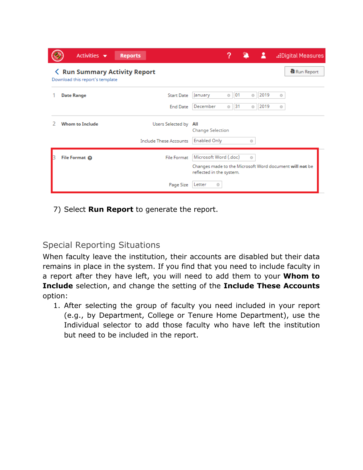| Activities $\blacktriangledown$                                         | <b>Reports</b>                | ?<br>А<br>.: Digital Measures                                                                                           |
|-------------------------------------------------------------------------|-------------------------------|-------------------------------------------------------------------------------------------------------------------------|
| <b>く Run Summary Activity Report</b><br>Download this report's template |                               | Run Report                                                                                                              |
| <b>Date Range</b>                                                       | <b>Start Date</b>             | 2019<br>$\circ$ 01<br>January<br>Ø<br>O                                                                                 |
|                                                                         | <b>End Date</b>               | December<br> 31<br>2019<br>$\odot$<br>Ø<br>Ø                                                                            |
| Whom to Include                                                         | Users Selected by             | All<br><b>Change Selection</b>                                                                                          |
|                                                                         | <b>Include These Accounts</b> | <b>Enabled Only</b><br>Ō                                                                                                |
| File Format @                                                           | <b>File Format</b>            | Microsoft Word (.doc)<br>$\odot$<br>Changes made to the Microsoft Word document will not be<br>reflected in the system. |
|                                                                         | Page Size                     | Letter<br>Ō                                                                                                             |

7) Select **Run Report** to generate the report.

### <span id="page-11-0"></span>Special Reporting Situations

When faculty leave the institution, their accounts are disabled but their data remains in place in the system. If you find that you need to include faculty in a report after they have left, you will need to add them to your **Whom to Include** selection, and change the setting of the **Include These Accounts** option:

1. After selecting the group of faculty you need included in your report (e.g., by Department, College or Tenure Home Department), use the Individual selector to add those faculty who have left the institution but need to be included in the report.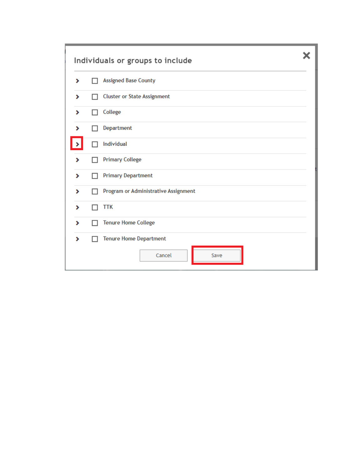|   | Individuals or groups to include                |  |  |  |  |  |
|---|-------------------------------------------------|--|--|--|--|--|
| ⋟ | <b>Assigned Base County</b>                     |  |  |  |  |  |
| ۶ | <b>Cluster or State Assignment</b>              |  |  |  |  |  |
| ≯ | College<br>H                                    |  |  |  |  |  |
| ⋗ | Department                                      |  |  |  |  |  |
|   | Individual                                      |  |  |  |  |  |
| ≯ | <b>Primary College</b>                          |  |  |  |  |  |
| ۶ | <b>Primary Department</b>                       |  |  |  |  |  |
| ۶ | Program or Administrative Assignment            |  |  |  |  |  |
| ⋗ | TTK                                             |  |  |  |  |  |
| ⋟ | <b>Tenure Home College</b>                      |  |  |  |  |  |
| ۶ | <b>Tenure Home Department</b><br>Cancel<br>Save |  |  |  |  |  |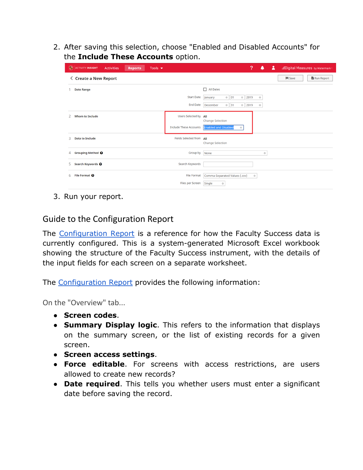2. After saving this selection, choose "Enabled and Disabled Accounts" for the **Include These Accounts** option.

| <b>O</b> ACTIVITY INSIGHT<br><b>Activities</b><br>Tools $\blacktriangledown$<br><b>Reports</b> |                                      | ?<br>А<br>.: Digital Measures by Watermark<br>▲                                                                   |
|------------------------------------------------------------------------------------------------|--------------------------------------|-------------------------------------------------------------------------------------------------------------------|
| <b>く Create a New Report</b>                                                                   |                                      | Run Report<br>$H$ Save                                                                                            |
| <b>Date Range</b>                                                                              |                                      | $\Box$ All Dates                                                                                                  |
|                                                                                                | <b>Start Date</b><br><b>End Date</b> | $\circ$ 01<br>January<br>2019<br>$\circ$<br>$_{\odot}$<br>December<br>$\circ$ 31<br>2019<br>$\circ$<br>$_{\odot}$ |
| <b>Whom to Include</b>                                                                         | Users Selected by All                |                                                                                                                   |
|                                                                                                | Include These Accounts               | <b>Change Selection</b><br><b>Enabled and Disabled</b><br>$\circ$                                                 |
| <b>Data to Include</b><br>3                                                                    | Fields Selected from All             | <b>Change Selection</b>                                                                                           |
| Grouping Method <sup>O</sup><br>4                                                              | Group by                             | None<br>$_{\odot}$                                                                                                |
| Search Keywords <sup>O</sup><br>5.                                                             | Search Keywords                      |                                                                                                                   |
| File Format <sup>O</sup><br>6.                                                                 | <b>File Format</b>                   | Comma-Separated Values (.csv)<br>$\odot$                                                                          |
|                                                                                                | Files per Screen                     | Single<br>$_{\odot}$                                                                                              |

3. Run your report.

#### <span id="page-13-0"></span>Guide to the Configuration Report

The [Configuration](https://faculty.umd.edu/media/146/download) Report is a reference for how the Faculty Success data is currently configured. This is a system-generated Microsoft Excel workbook showing the structure of the Faculty Success instrument, with the details of the input fields for each screen on a separate worksheet.

<span id="page-13-1"></span>The [Configuration Report](https://faculty.umd.edu/media/146/download) provides the following information:

On the "Overview" tab...

- **Screen codes**.
- **Summary Display logic**. This refers to the information that displays on the summary screen, or the list of existing records for a given screen.
- **Screen access settings**.
- **Force editable**. For screens with access restrictions, are users allowed to create new records?
- **Date required**. This tells you whether users must enter a significant date before saving the record.